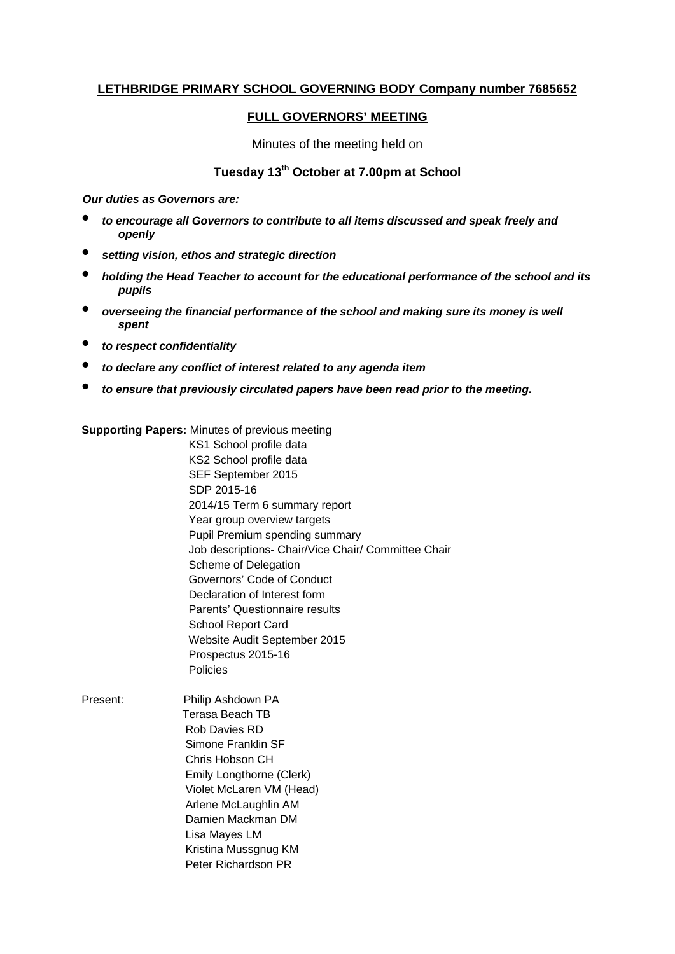# **LETHBRIDGE PRIMARY SCHOOL GOVERNING BODY Company number 7685652**

## **FULL GOVERNORS' MEETING**

Minutes of the meeting held on

# **Tuesday 13th October at 7.00pm at School**

*Our duties as Governors are:* 

- *to encourage all Governors to contribute to all items discussed and speak freely and openly*
- *setting vision, ethos and strategic direction*
- *holding the Head Teacher to account for the educational performance of the school and its pupils*
- *overseeing the financial performance of the school and making sure its money is well spent*
- *to respect confidentiality*
- *to declare any conflict of interest related to any agenda item*
- *to ensure that previously circulated papers have been read prior to the meeting.*

**Supporting Papers:** Minutes of previous meeting

 KS1 School profile data KS2 School profile data SEF September 2015 SDP 2015-16 2014/15 Term 6 summary report Year group overview targets Pupil Premium spending summary Job descriptions- Chair/Vice Chair/ Committee Chair Scheme of Delegation Governors' Code of Conduct Declaration of Interest form Parents' Questionnaire results School Report Card Website Audit September 2015 Prospectus 2015-16 Policies

Present: Philip Ashdown PA Terasa Beach TB Rob Davies RD Simone Franklin SF Chris Hobson CH Emily Longthorne (Clerk) Violet McLaren VM (Head) Arlene McLaughlin AM Damien Mackman DM Lisa Mayes LM Kristina Mussgnug KM Peter Richardson PR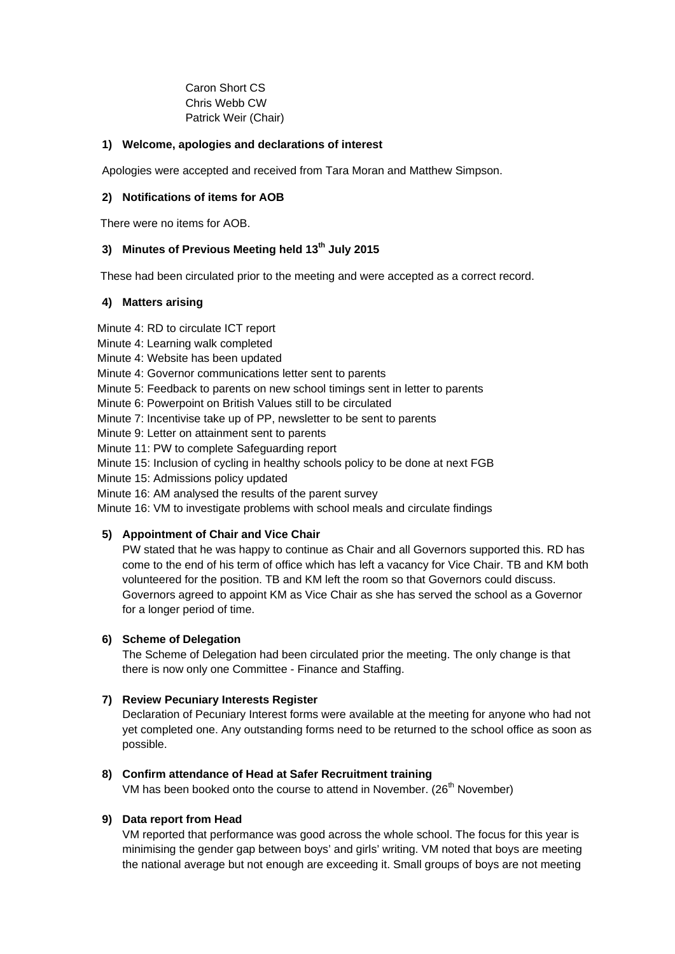Caron Short CS Chris Webb CW Patrick Weir (Chair)

## **1) Welcome, apologies and declarations of interest**

Apologies were accepted and received from Tara Moran and Matthew Simpson.

## **2) Notifications of items for AOB**

There were no items for AOB.

## **3) Minutes of Previous Meeting held 13th July 2015**

These had been circulated prior to the meeting and were accepted as a correct record.

## **4) Matters arising**

Minute 4: RD to circulate ICT report

Minute 4: Learning walk completed

Minute 4: Website has been updated

Minute 4: Governor communications letter sent to parents

Minute 5: Feedback to parents on new school timings sent in letter to parents

Minute 6: Powerpoint on British Values still to be circulated

Minute 7: Incentivise take up of PP, newsletter to be sent to parents

Minute 9: Letter on attainment sent to parents

Minute 11: PW to complete Safeguarding report

Minute 15: Inclusion of cycling in healthy schools policy to be done at next FGB

Minute 15: Admissions policy updated

Minute 16: AM analysed the results of the parent survey

Minute 16: VM to investigate problems with school meals and circulate findings

## **5) Appointment of Chair and Vice Chair**

PW stated that he was happy to continue as Chair and all Governors supported this. RD has come to the end of his term of office which has left a vacancy for Vice Chair. TB and KM both volunteered for the position. TB and KM left the room so that Governors could discuss. Governors agreed to appoint KM as Vice Chair as she has served the school as a Governor for a longer period of time.

## **6) Scheme of Delegation**

The Scheme of Delegation had been circulated prior the meeting. The only change is that there is now only one Committee - Finance and Staffing.

## **7) Review Pecuniary Interests Register**

Declaration of Pecuniary Interest forms were available at the meeting for anyone who had not yet completed one. Any outstanding forms need to be returned to the school office as soon as possible.

## **8) Confirm attendance of Head at Safer Recruitment training**

VM has been booked onto the course to attend in November. ( $26<sup>th</sup>$  November)

## **9) Data report from Head**

VM reported that performance was good across the whole school. The focus for this year is minimising the gender gap between boys' and girls' writing. VM noted that boys are meeting the national average but not enough are exceeding it. Small groups of boys are not meeting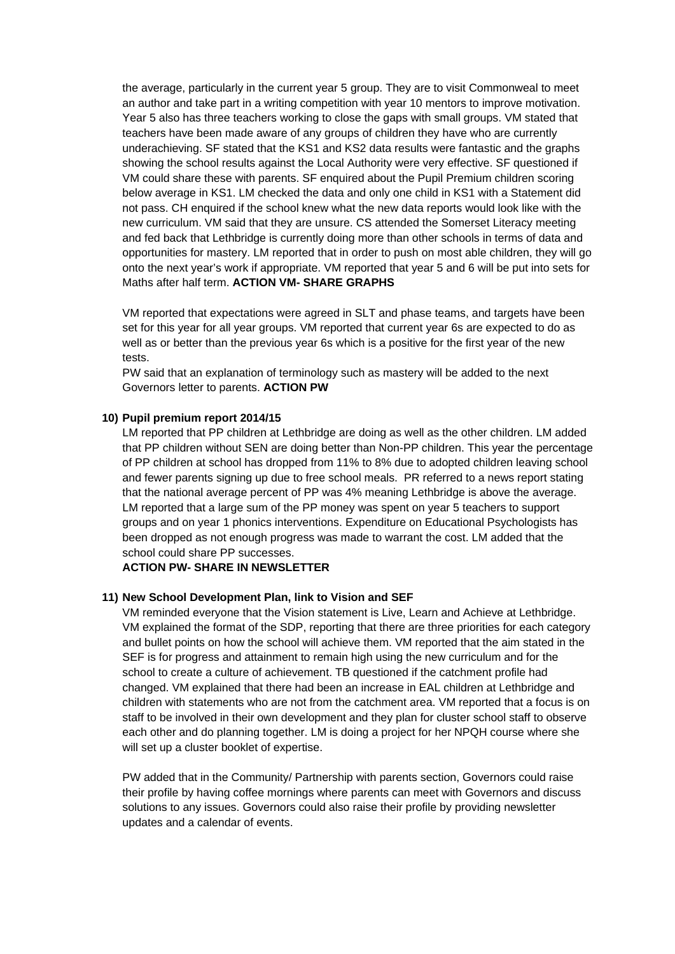the average, particularly in the current year 5 group. They are to visit Commonweal to meet an author and take part in a writing competition with year 10 mentors to improve motivation. Year 5 also has three teachers working to close the gaps with small groups. VM stated that teachers have been made aware of any groups of children they have who are currently underachieving. SF stated that the KS1 and KS2 data results were fantastic and the graphs showing the school results against the Local Authority were very effective. SF questioned if VM could share these with parents. SF enquired about the Pupil Premium children scoring below average in KS1. LM checked the data and only one child in KS1 with a Statement did not pass. CH enquired if the school knew what the new data reports would look like with the new curriculum. VM said that they are unsure. CS attended the Somerset Literacy meeting and fed back that Lethbridge is currently doing more than other schools in terms of data and opportunities for mastery. LM reported that in order to push on most able children, they will go onto the next year's work if appropriate. VM reported that year 5 and 6 will be put into sets for Maths after half term. **ACTION VM- SHARE GRAPHS**

VM reported that expectations were agreed in SLT and phase teams, and targets have been set for this year for all year groups. VM reported that current year 6s are expected to do as well as or better than the previous year 6s which is a positive for the first year of the new tests.

PW said that an explanation of terminology such as mastery will be added to the next Governors letter to parents. **ACTION PW** 

### **10) Pupil premium report 2014/15**

LM reported that PP children at Lethbridge are doing as well as the other children. LM added that PP children without SEN are doing better than Non-PP children. This year the percentage of PP children at school has dropped from 11% to 8% due to adopted children leaving school and fewer parents signing up due to free school meals. PR referred to a news report stating that the national average percent of PP was 4% meaning Lethbridge is above the average. LM reported that a large sum of the PP money was spent on year 5 teachers to support groups and on year 1 phonics interventions. Expenditure on Educational Psychologists has been dropped as not enough progress was made to warrant the cost. LM added that the school could share PP successes.

### **ACTION PW- SHARE IN NEWSLETTER**

#### **11) New School Development Plan, link to Vision and SEF**

VM reminded everyone that the Vision statement is Live, Learn and Achieve at Lethbridge. VM explained the format of the SDP, reporting that there are three priorities for each category and bullet points on how the school will achieve them. VM reported that the aim stated in the SEF is for progress and attainment to remain high using the new curriculum and for the school to create a culture of achievement. TB questioned if the catchment profile had changed. VM explained that there had been an increase in EAL children at Lethbridge and children with statements who are not from the catchment area. VM reported that a focus is on staff to be involved in their own development and they plan for cluster school staff to observe each other and do planning together. LM is doing a project for her NPQH course where she will set up a cluster booklet of expertise.

PW added that in the Community/ Partnership with parents section, Governors could raise their profile by having coffee mornings where parents can meet with Governors and discuss solutions to any issues. Governors could also raise their profile by providing newsletter updates and a calendar of events.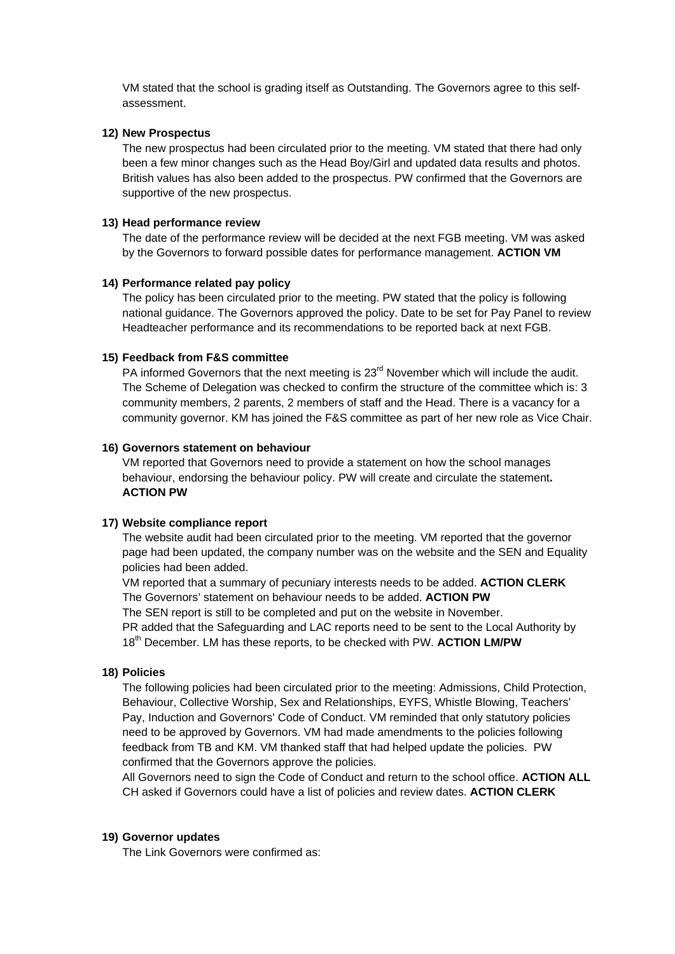VM stated that the school is grading itself as Outstanding. The Governors agree to this selfassessment.

### **12) New Prospectus**

The new prospectus had been circulated prior to the meeting. VM stated that there had only been a few minor changes such as the Head Boy/Girl and updated data results and photos. British values has also been added to the prospectus. PW confirmed that the Governors are supportive of the new prospectus.

### **13) Head performance review**

The date of the performance review will be decided at the next FGB meeting. VM was asked by the Governors to forward possible dates for performance management. **ACTION VM** 

### **14) Performance related pay policy**

The policy has been circulated prior to the meeting. PW stated that the policy is following national guidance. The Governors approved the policy. Date to be set for Pay Panel to review Headteacher performance and its recommendations to be reported back at next FGB.

#### **15) Feedback from F&S committee**

PA informed Governors that the next meeting is  $23<sup>rd</sup>$  November which will include the audit. The Scheme of Delegation was checked to confirm the structure of the committee which is: 3 community members, 2 parents, 2 members of staff and the Head. There is a vacancy for a community governor. KM has joined the F&S committee as part of her new role as Vice Chair.

#### **16) Governors statement on behaviour**

VM reported that Governors need to provide a statement on how the school manages behaviour, endorsing the behaviour policy. PW will create and circulate the statement**. ACTION PW** 

### **17) Website compliance report**

The website audit had been circulated prior to the meeting. VM reported that the governor page had been updated, the company number was on the website and the SEN and Equality policies had been added.

VM reported that a summary of pecuniary interests needs to be added. **ACTION CLERK** The Governors' statement on behaviour needs to be added. **ACTION PW** The SEN report is still to be completed and put on the website in November. PR added that the Safeguarding and LAC reports need to be sent to the Local Authority by

18th December. LM has these reports, to be checked with PW. **ACTION LM/PW** 

### **18) Policies**

The following policies had been circulated prior to the meeting: Admissions, Child Protection, Behaviour, Collective Worship, Sex and Relationships, EYFS, Whistle Blowing, Teachers' Pay, Induction and Governors' Code of Conduct. VM reminded that only statutory policies need to be approved by Governors. VM had made amendments to the policies following feedback from TB and KM. VM thanked staff that had helped update the policies. PW confirmed that the Governors approve the policies.

All Governors need to sign the Code of Conduct and return to the school office. **ACTION ALL** CH asked if Governors could have a list of policies and review dates. **ACTION CLERK** 

### **19) Governor updates**

The Link Governors were confirmed as: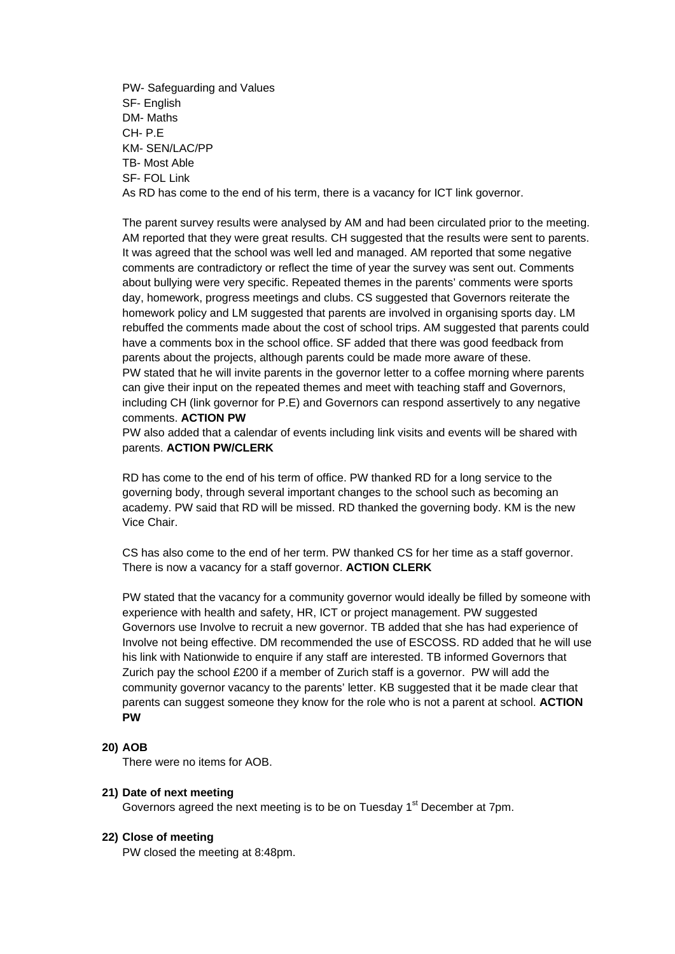PW- Safeguarding and Values SF- English DM- Maths CH- P.E KM- SEN/LAC/PP TB- Most Able SF- FOL Link As RD has come to the end of his term, there is a vacancy for ICT link governor.

The parent survey results were analysed by AM and had been circulated prior to the meeting. AM reported that they were great results. CH suggested that the results were sent to parents. It was agreed that the school was well led and managed. AM reported that some negative comments are contradictory or reflect the time of year the survey was sent out. Comments about bullying were very specific. Repeated themes in the parents' comments were sports day, homework, progress meetings and clubs. CS suggested that Governors reiterate the homework policy and LM suggested that parents are involved in organising sports day. LM rebuffed the comments made about the cost of school trips. AM suggested that parents could have a comments box in the school office. SF added that there was good feedback from parents about the projects, although parents could be made more aware of these. PW stated that he will invite parents in the governor letter to a coffee morning where parents can give their input on the repeated themes and meet with teaching staff and Governors, including CH (link governor for P.E) and Governors can respond assertively to any negative comments. **ACTION PW** 

PW also added that a calendar of events including link visits and events will be shared with parents. **ACTION PW/CLERK** 

RD has come to the end of his term of office. PW thanked RD for a long service to the governing body, through several important changes to the school such as becoming an academy. PW said that RD will be missed. RD thanked the governing body. KM is the new Vice Chair.

CS has also come to the end of her term. PW thanked CS for her time as a staff governor. There is now a vacancy for a staff governor. **ACTION CLERK** 

PW stated that the vacancy for a community governor would ideally be filled by someone with experience with health and safety, HR, ICT or project management. PW suggested Governors use Involve to recruit a new governor. TB added that she has had experience of Involve not being effective. DM recommended the use of ESCOSS. RD added that he will use his link with Nationwide to enquire if any staff are interested. TB informed Governors that Zurich pay the school £200 if a member of Zurich staff is a governor. PW will add the community governor vacancy to the parents' letter. KB suggested that it be made clear that parents can suggest someone they know for the role who is not a parent at school. **ACTION PW** 

### **20) AOB**

There were no items for AOB.

### **21) Date of next meeting**

Governors agreed the next meeting is to be on Tuesday 1<sup>st</sup> December at 7pm.

### **22) Close of meeting**

PW closed the meeting at 8:48pm.